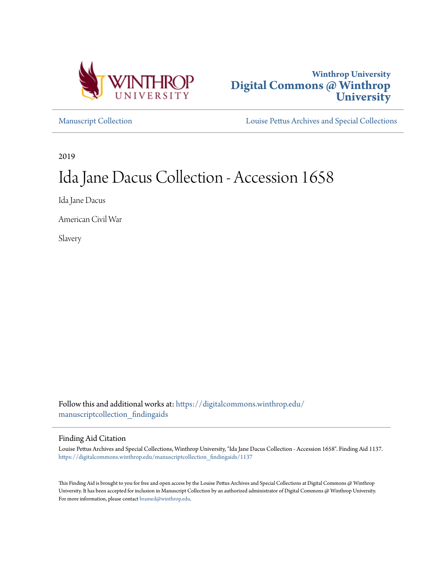



[Manuscript Collection](https://digitalcommons.winthrop.edu/manuscriptcollection_findingaids?utm_source=digitalcommons.winthrop.edu%2Fmanuscriptcollection_findingaids%2F1137&utm_medium=PDF&utm_campaign=PDFCoverPages) [Louise Pettus Archives and Special Collections](https://digitalcommons.winthrop.edu/pettus_archives?utm_source=digitalcommons.winthrop.edu%2Fmanuscriptcollection_findingaids%2F1137&utm_medium=PDF&utm_campaign=PDFCoverPages)

2019

# Ida Jane Dacus Collection - Accession 1658

Ida Jane Dacus

American Civil War

Slavery

Follow this and additional works at: [https://digitalcommons.winthrop.edu/](https://digitalcommons.winthrop.edu/manuscriptcollection_findingaids?utm_source=digitalcommons.winthrop.edu%2Fmanuscriptcollection_findingaids%2F1137&utm_medium=PDF&utm_campaign=PDFCoverPages) [manuscriptcollection\\_findingaids](https://digitalcommons.winthrop.edu/manuscriptcollection_findingaids?utm_source=digitalcommons.winthrop.edu%2Fmanuscriptcollection_findingaids%2F1137&utm_medium=PDF&utm_campaign=PDFCoverPages)

#### Finding Aid Citation

Louise Pettus Archives and Special Collections, Winthrop University, "Ida Jane Dacus Collection - Accession 1658". Finding Aid 1137. [https://digitalcommons.winthrop.edu/manuscriptcollection\\_findingaids/1137](https://digitalcommons.winthrop.edu/manuscriptcollection_findingaids/1137?utm_source=digitalcommons.winthrop.edu%2Fmanuscriptcollection_findingaids%2F1137&utm_medium=PDF&utm_campaign=PDFCoverPages)

This Finding Aid is brought to you for free and open access by the Louise Pettus Archives and Special Collections at Digital Commons @ Winthrop University. It has been accepted for inclusion in Manuscript Collection by an authorized administrator of Digital Commons @ Winthrop University. For more information, please contact [bramed@winthrop.edu.](mailto:bramed@winthrop.edu)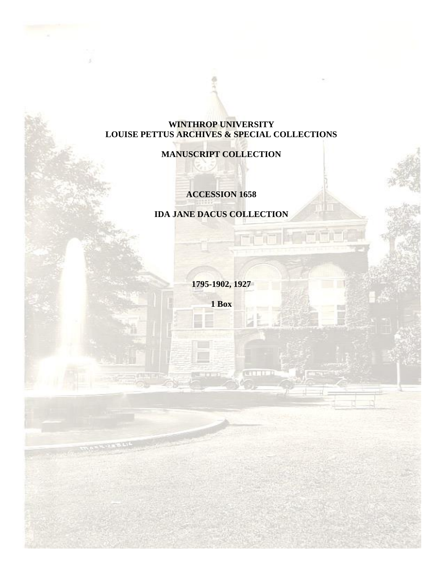# **WINTHROP UNIVERSITY LOUISE PETTUS ARCHIVES & SPECIAL COLLECTIONS**

# **MANUSCRIPT COLLECTION**

# **ACCESSION 1658**

# **IDA JANE DACUS COLLECTION**

**1795-1902, 1927**

**1 Box**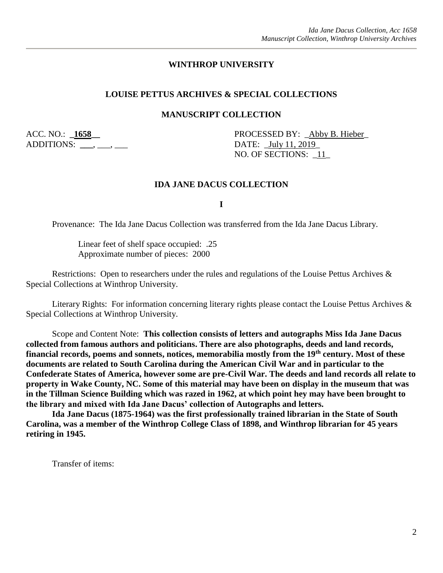#### **WINTHROP UNIVERSITY**

#### **LOUISE PETTUS ARCHIVES & SPECIAL COLLECTIONS**

#### **MANUSCRIPT COLLECTION**

ADDITIONS: \_\_\_\_, \_\_\_, \_\_\_

ACC. NO.: **1658** PROCESSED BY: Abby B. Hieber NO. OF SECTIONS: \_11\_

#### **IDA JANE DACUS COLLECTION**

**I**

Provenance: The Ida Jane Dacus Collection was transferred from the Ida Jane Dacus Library.

Linear feet of shelf space occupied: .25 Approximate number of pieces: 2000

Restrictions: Open to researchers under the rules and regulations of the Louise Pettus Archives & Special Collections at Winthrop University.

Literary Rights: For information concerning literary rights please contact the Louise Pettus Archives & Special Collections at Winthrop University.

Scope and Content Note: **This collection consists of letters and autographs Miss Ida Jane Dacus collected from famous authors and politicians. There are also photographs, deeds and land records, financial records, poems and sonnets, notices, memorabilia mostly from the 19th century. Most of these documents are related to South Carolina during the American Civil War and in particular to the Confederate States of America, however some are pre-Civil War. The deeds and land records all relate to property in Wake County, NC. Some of this material may have been on display in the museum that was in the Tillman Science Building which was razed in 1962, at which point hey may have been brought to the library and mixed with Ida Jane Dacus' collection of Autographs and letters.** 

**Ida Jane Dacus (1875-1964) was the first professionally trained librarian in the State of South Carolina, was a member of the Winthrop College Class of 1898, and Winthrop librarian for 45 years retiring in 1945.** 

Transfer of items: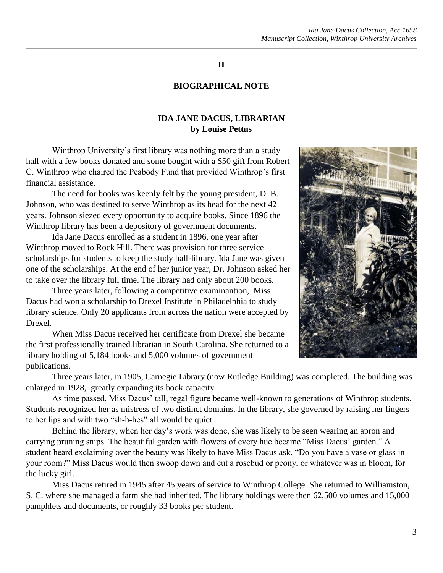### **II**

#### **BIOGRAPHICAL NOTE**

#### **IDA JANE DACUS, LIBRARIAN by Louise Pettus**

Winthrop University's first library was nothing more than a study hall with a few books donated and some bought with a \$50 gift from Robert C. Winthrop who chaired the Peabody Fund that provided Winthrop's first financial assistance.

The need for books was keenly felt by the young president, D. B. Johnson, who was destined to serve Winthrop as its head for the next 42 years. Johnson siezed every opportunity to acquire books. Since 1896 the Winthrop library has been a depository of government documents.

Ida Jane Dacus enrolled as a student in 1896, one year after Winthrop moved to Rock Hill. There was provision for three service scholarships for students to keep the study hall-library. Ida Jane was given one of the scholarships. At the end of her junior year, Dr. Johnson asked her to take over the library full time. The library had only about 200 books.

Three years later, following a competitive examinantion, Miss Dacus had won a scholarship to Drexel Institute in Philadelphia to study library science. Only 20 applicants from across the nation were accepted by Drexel.

When Miss Dacus received her certificate from Drexel she became the first professionally trained librarian in South Carolina. She returned to a library holding of 5,184 books and 5,000 volumes of government publications.

Three years later, in 1905, Carnegie Library (now Rutledge Building) was completed. The building was enlarged in 1928, greatly expanding its book capacity.

As time passed, Miss Dacus' tall, regal figure became well-known to generations of Winthrop students. Students recognized her as mistress of two distinct domains. In the library, she governed by raising her fingers to her lips and with two "sh-h-hes" all would be quiet.

Behind the library, when her day's work was done, she was likely to be seen wearing an apron and carrying pruning snips. The beautiful garden with flowers of every hue became "Miss Dacus' garden." A student heard exclaiming over the beauty was likely to have Miss Dacus ask, "Do you have a vase or glass in your room?" Miss Dacus would then swoop down and cut a rosebud or peony, or whatever was in bloom, for the lucky girl.

Miss Dacus retired in 1945 after 45 years of service to Winthrop College. She returned to Williamston, S. C. where she managed a farm she had inherited. The library holdings were then 62,500 volumes and 15,000 pamphlets and documents, or roughly 33 books per student.

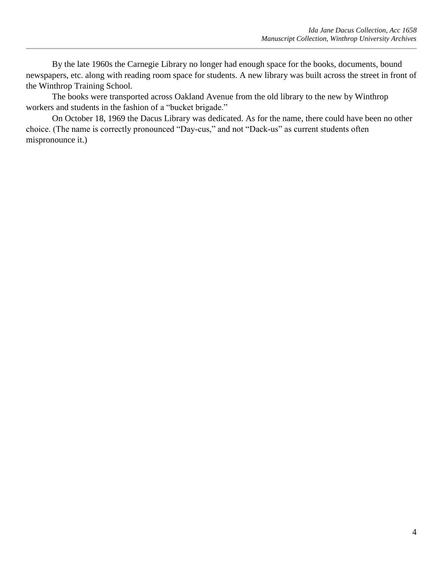By the late 1960s the Carnegie Library no longer had enough space for the books, documents, bound newspapers, etc. along with reading room space for students. A new library was built across the street in front of the Winthrop Training School.

The books were transported across Oakland Avenue from the old library to the new by Winthrop workers and students in the fashion of a "bucket brigade."

On October 18, 1969 the Dacus Library was dedicated. As for the name, there could have been no other choice. (The name is correctly pronounced "Day-cus," and not "Dack-us" as current students often mispronounce it.)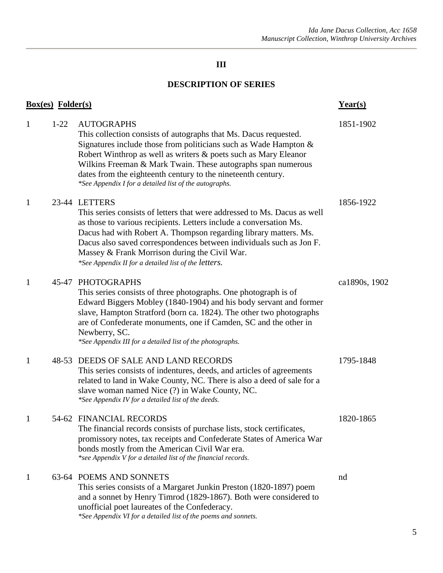# **III**

# **DESCRIPTION OF SERIES**

|              | <b>Box(es)</b> Folder(s) |                                                                                                                                                                                                                                                                                                                                                                                                                        | Year(s)       |
|--------------|--------------------------|------------------------------------------------------------------------------------------------------------------------------------------------------------------------------------------------------------------------------------------------------------------------------------------------------------------------------------------------------------------------------------------------------------------------|---------------|
| 1            | $1 - 22$                 | <b>AUTOGRAPHS</b><br>This collection consists of autographs that Ms. Dacus requested.<br>Signatures include those from politicians such as Wade Hampton &<br>Robert Winthrop as well as writers & poets such as Mary Eleanor<br>Wilkins Freeman & Mark Twain. These autographs span numerous<br>dates from the eighteenth century to the nineteenth century.<br>*See Appendix I for a detailed list of the autographs. | 1851-1902     |
| 1            |                          | 23-44 LETTERS<br>This series consists of letters that were addressed to Ms. Dacus as well<br>as those to various recipients. Letters include a conversation Ms.<br>Dacus had with Robert A. Thompson regarding library matters. Ms.<br>Dacus also saved correspondences between individuals such as Jon F.<br>Massey & Frank Morrison during the Civil War.<br>*See Appendix II for a detailed list of the letters.    | 1856-1922     |
| 1            |                          | 45-47 PHOTOGRAPHS<br>This series consists of three photographs. One photograph is of<br>Edward Biggers Mobley (1840-1904) and his body servant and former<br>slave, Hampton Stratford (born ca. 1824). The other two photographs<br>are of Confederate monuments, one if Camden, SC and the other in<br>Newberry, SC.<br>*See Appendix III for a detailed list of the photographs.                                     | ca1890s, 1902 |
| 1            |                          | 48-53 DEEDS OF SALE AND LAND RECORDS<br>This series consists of indentures, deeds, and articles of agreements<br>related to land in Wake County, NC. There is also a deed of sale for a<br>slave woman named Nice (?) in Wake County, NC.<br>*See Appendix IV for a detailed list of the deeds.                                                                                                                        | 1795-1848     |
| 1            |                          | 54-62 FINANCIAL RECORDS<br>The financial records consists of purchase lists, stock certificates,<br>promissory notes, tax receipts and Confederate States of America War<br>bonds mostly from the American Civil War era.<br>*see Appendix V for a detailed list of the financial records.                                                                                                                             | 1820-1865     |
| $\mathbf{1}$ |                          | 63-64 POEMS AND SONNETS<br>This series consists of a Margaret Junkin Preston (1820-1897) poem<br>and a sonnet by Henry Timrod (1829-1867). Both were considered to<br>unofficial poet laureates of the Confederacy.<br>*See Appendix VI for a detailed list of the poems and sonnets.                                                                                                                                  | nd            |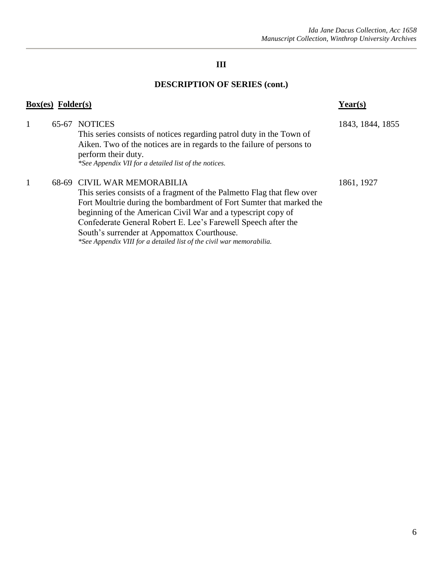# **III**

# **DESCRIPTION OF SERIES (cont.)**

|   | $Box(es)$ Folder $(s)$ |                                                                                                                                                                                                                                                                                                                                                                                                                                      | Year(s)          |
|---|------------------------|--------------------------------------------------------------------------------------------------------------------------------------------------------------------------------------------------------------------------------------------------------------------------------------------------------------------------------------------------------------------------------------------------------------------------------------|------------------|
| 1 | 65-67                  | <b>NOTICES</b><br>This series consists of notices regarding patrol duty in the Town of<br>Aiken. Two of the notices are in regards to the failure of persons to<br>perform their duty.<br>*See Appendix VII for a detailed list of the notices.                                                                                                                                                                                      | 1843, 1844, 1855 |
| 1 |                        | 68-69 CIVIL WAR MEMORABILIA<br>This series consists of a fragment of the Palmetto Flag that flew over<br>Fort Moultrie during the bombardment of Fort Sumter that marked the<br>beginning of the American Civil War and a typescript copy of<br>Confederate General Robert E. Lee's Farewell Speech after the<br>South's surrender at Appomattox Courthouse.<br>*See Appendix VIII for a detailed list of the civil war memorabilia. | 1861, 1927       |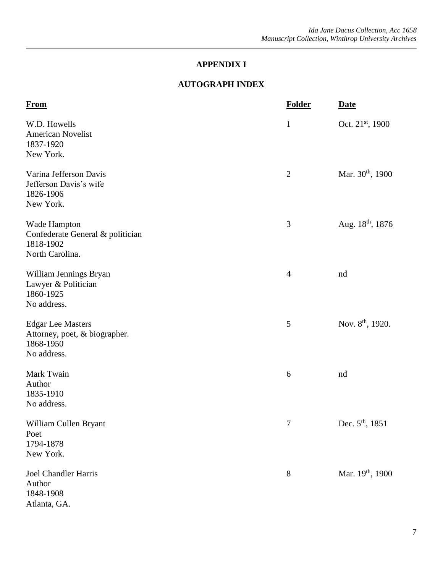# **AUTOGRAPH INDEX**

| <b>From</b>                                                                           | <b>Folder</b>  | <b>Date</b>                  |
|---------------------------------------------------------------------------------------|----------------|------------------------------|
| W.D. Howells<br><b>American Novelist</b><br>1837-1920<br>New York.                    | $\mathbf{1}$   | Oct. $21^{st}$ , 1900        |
| Varina Jefferson Davis<br>Jefferson Davis's wife<br>1826-1906<br>New York.            | $\overline{2}$ | Mar. $30th$ , 1900           |
| Wade Hampton<br>Confederate General & politician<br>1818-1902<br>North Carolina.      | 3              | Aug. $18^{th}$ , $1876$      |
| William Jennings Bryan<br>Lawyer & Politician<br>1860-1925<br>No address.             | $\overline{4}$ | nd                           |
| <b>Edgar Lee Masters</b><br>Attorney, poet, & biographer.<br>1868-1950<br>No address. | 5              | Nov. 8 <sup>th</sup> , 1920. |
| Mark Twain<br>Author<br>1835-1910<br>No address.                                      | 6              | nd                           |
| William Cullen Bryant<br>Poet<br>1794-1878<br>New York.                               | $\tau$         | Dec. $5^{\text{th}}$ , 1851  |
| <b>Joel Chandler Harris</b><br>Author<br>1848-1908<br>Atlanta, GA.                    | 8              | Mar. 19 <sup>th</sup> , 1900 |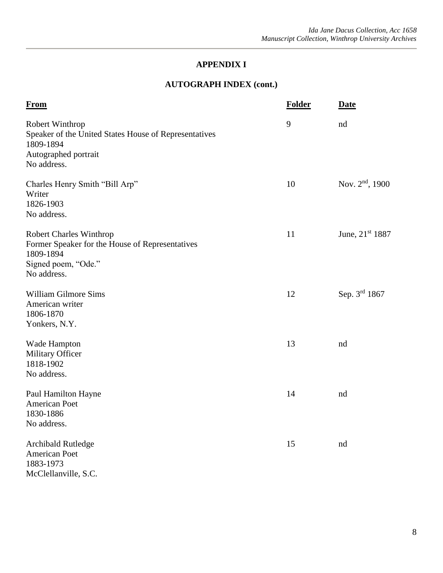# **AUTOGRAPH INDEX (cont.)**

| <b>From</b>                                                                                                                          | <b>Folder</b> | <b>Date</b>                 |
|--------------------------------------------------------------------------------------------------------------------------------------|---------------|-----------------------------|
| Robert Winthrop<br>Speaker of the United States House of Representatives<br>1809-1894<br>Autographed portrait<br>No address.         | 9             | nd                          |
| Charles Henry Smith "Bill Arp"<br>Writer<br>1826-1903<br>No address.                                                                 | 10            | Nov. $2nd$ , 1900           |
| <b>Robert Charles Winthrop</b><br>Former Speaker for the House of Representatives<br>1809-1894<br>Signed poem, "Ode."<br>No address. | 11            | June, 21 <sup>st</sup> 1887 |
| William Gilmore Sims<br>American writer<br>1806-1870<br>Yonkers, N.Y.                                                                | 12            | Sep. 3rd 1867               |
| Wade Hampton<br>Military Officer<br>1818-1902<br>No address.                                                                         | 13            | nd                          |
| Paul Hamilton Hayne<br><b>American Poet</b><br>1830-1886<br>No address.                                                              | 14            | nd                          |
| <b>Archibald Rutledge</b><br>American Poet<br>1883-1973<br>McClellanville, S.C.                                                      | 15            | nd                          |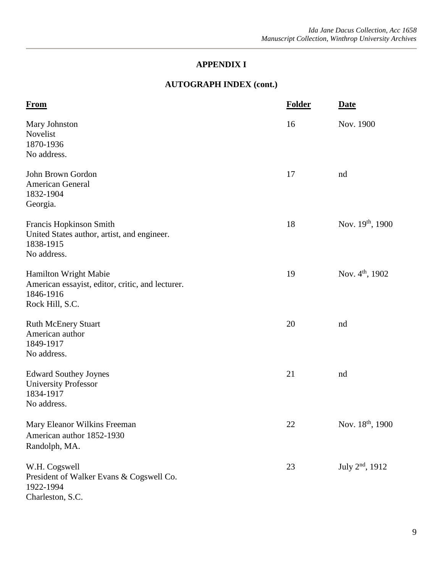# **AUTOGRAPH INDEX (cont.)**

| <b>From</b>                                                                                               | <b>Folder</b> | <b>Date</b>                  |
|-----------------------------------------------------------------------------------------------------------|---------------|------------------------------|
| Mary Johnston<br>Novelist<br>1870-1936<br>No address.                                                     | 16            | Nov. 1900                    |
| John Brown Gordon<br>American General<br>1832-1904<br>Georgia.                                            | 17            | nd                           |
| Francis Hopkinson Smith<br>United States author, artist, and engineer.<br>1838-1915<br>No address.        | 18            | Nov. $19^{th}$ , 1900        |
| Hamilton Wright Mabie<br>American essayist, editor, critic, and lecturer.<br>1846-1916<br>Rock Hill, S.C. | 19            | Nov. $4^{\text{th}}$ , 1902  |
| <b>Ruth McEnery Stuart</b><br>American author<br>1849-1917<br>No address.                                 | 20            | nd                           |
| <b>Edward Southey Joynes</b><br><b>University Professor</b><br>1834-1917<br>No address.                   | 21            | nd                           |
| Mary Eleanor Wilkins Freeman<br>American author 1852-1930<br>Randolph, MA.                                | 22            | Nov. 18 <sup>th</sup> , 1900 |
| W.H. Cogswell<br>President of Walker Evans & Cogswell Co.<br>1922-1994<br>Charleston, S.C.                | 23            | July $2^{nd}$ , 1912         |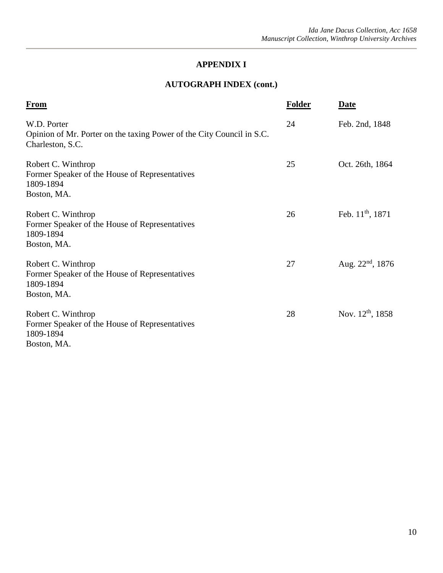# **AUTOGRAPH INDEX (cont.)**

| <b>From</b>                                                                                              | <b>Folder</b> | <b>Date</b>                  |
|----------------------------------------------------------------------------------------------------------|---------------|------------------------------|
| W.D. Porter<br>Opinion of Mr. Porter on the taxing Power of the City Council in S.C.<br>Charleston, S.C. | 24            | Feb. 2nd, 1848               |
| Robert C. Winthrop<br>Former Speaker of the House of Representatives<br>1809-1894<br>Boston, MA.         | 25            | Oct. 26th, 1864              |
| Robert C. Winthrop<br>Former Speaker of the House of Representatives<br>1809-1894<br>Boston, MA.         | 26            | Feb. 11 <sup>th</sup> , 1871 |
| Robert C. Winthrop<br>Former Speaker of the House of Representatives<br>1809-1894<br>Boston, MA.         | 27            | Aug. $22nd$ , 1876           |
| Robert C. Winthrop<br>Former Speaker of the House of Representatives<br>1809-1894<br>Boston, MA.         | 28            | Nov. $12^{th}$ , 1858        |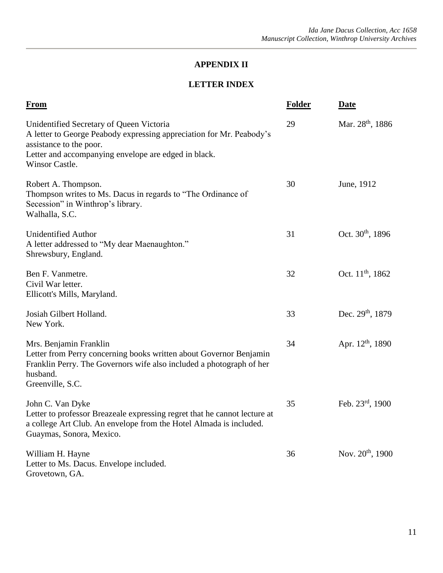# **LETTER INDEX**

| <b>From</b>                                                                                                                                                                                                           | <b>Folder</b> | <b>Date</b>                  |
|-----------------------------------------------------------------------------------------------------------------------------------------------------------------------------------------------------------------------|---------------|------------------------------|
| Unidentified Secretary of Queen Victoria<br>A letter to George Peabody expressing appreciation for Mr. Peabody's<br>assistance to the poor.<br>Letter and accompanying envelope are edged in black.<br>Winsor Castle. | 29            | Mar. 28 <sup>th</sup> , 1886 |
| Robert A. Thompson.<br>Thompson writes to Ms. Dacus in regards to "The Ordinance of<br>Secession" in Winthrop's library.<br>Walhalla, S.C.                                                                            | 30            | June, 1912                   |
| <b>Unidentified Author</b><br>A letter addressed to "My dear Maenaughton."<br>Shrewsbury, England.                                                                                                                    | 31            | Oct. 30 <sup>th</sup> , 1896 |
| Ben F. Vanmetre.<br>Civil War letter.<br>Ellicott's Mills, Maryland.                                                                                                                                                  | 32            | Oct. $11^{th}$ , 1862        |
| Josiah Gilbert Holland.<br>New York.                                                                                                                                                                                  | 33            | Dec. 29 <sup>th</sup> , 1879 |
| Mrs. Benjamin Franklin<br>Letter from Perry concerning books written about Governor Benjamin<br>Franklin Perry. The Governors wife also included a photograph of her<br>husband.<br>Greenville, S.C.                  | 34            | Apr. $12^{th}$ , 1890        |
| John C. Van Dyke<br>Letter to professor Breazeale expressing regret that he cannot lecture at<br>a college Art Club. An envelope from the Hotel Almada is included.<br>Guaymas, Sonora, Mexico.                       | 35            | Feb. $23^{\text{rd}}$ , 1900 |
| William H. Hayne<br>Letter to Ms. Dacus. Envelope included.<br>Grovetown, GA.                                                                                                                                         | 36            | Nov. 20 <sup>th</sup> , 1900 |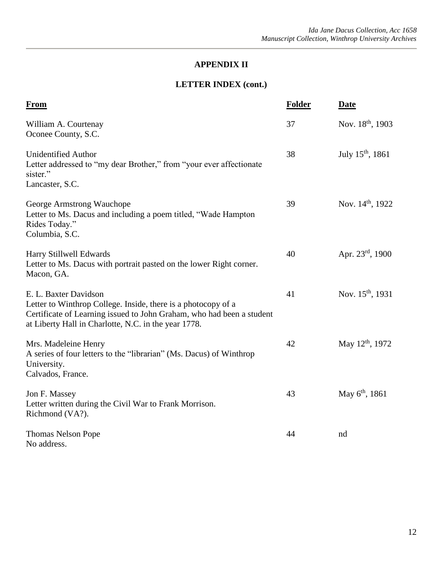# **LETTER INDEX (cont.)**

| <b>From</b>                                                                                                                                                                                                             | <b>Folder</b> | <b>Date</b>                  |
|-------------------------------------------------------------------------------------------------------------------------------------------------------------------------------------------------------------------------|---------------|------------------------------|
| William A. Courtenay<br>Oconee County, S.C.                                                                                                                                                                             | 37            | Nov. 18 <sup>th</sup> , 1903 |
| <b>Unidentified Author</b><br>Letter addressed to "my dear Brother," from "your ever affectionate<br>sister."<br>Lancaster, S.C.                                                                                        | 38            | July $15^{th}$ , 1861        |
| George Armstrong Wauchope<br>Letter to Ms. Dacus and including a poem titled, "Wade Hampton"<br>Rides Today."<br>Columbia, S.C.                                                                                         | 39            | Nov. 14 <sup>th</sup> , 1922 |
| Harry Stillwell Edwards<br>Letter to Ms. Dacus with portrait pasted on the lower Right corner.<br>Macon, GA.                                                                                                            | 40            | Apr. $23^{\text{rd}}$ , 1900 |
| E. L. Baxter Davidson<br>Letter to Winthrop College. Inside, there is a photocopy of a<br>Certificate of Learning issued to John Graham, who had been a student<br>at Liberty Hall in Charlotte, N.C. in the year 1778. | 41            | Nov. 15 <sup>th</sup> , 1931 |
| Mrs. Madeleine Henry<br>A series of four letters to the "librarian" (Ms. Dacus) of Winthrop<br>University.<br>Calvados, France.                                                                                         | 42            | May 12 <sup>th</sup> , 1972  |
| Jon F. Massey<br>Letter written during the Civil War to Frank Morrison.<br>Richmond (VA?).                                                                                                                              | 43            | May $6^{th}$ , 1861          |
| <b>Thomas Nelson Pope</b><br>No address.                                                                                                                                                                                | 44            | nd                           |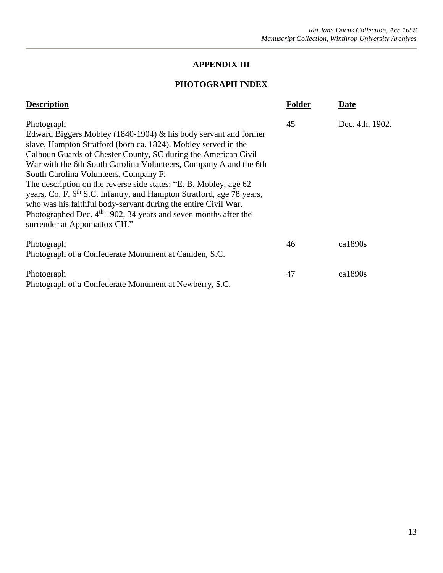#### **PHOTOGRAPH INDEX**

| <b>Description</b>                                                                                                                                                                                                                                                                                                                                                                                                                                                                                                                                                                                                                                               | <b>Folder</b> | <b>Date</b>     |
|------------------------------------------------------------------------------------------------------------------------------------------------------------------------------------------------------------------------------------------------------------------------------------------------------------------------------------------------------------------------------------------------------------------------------------------------------------------------------------------------------------------------------------------------------------------------------------------------------------------------------------------------------------------|---------------|-----------------|
| Photograph<br>Edward Biggers Mobley (1840-1904) & his body servant and former<br>slave, Hampton Stratford (born ca. 1824). Mobley served in the<br>Calhoun Guards of Chester County, SC during the American Civil<br>War with the 6th South Carolina Volunteers, Company A and the 6th<br>South Carolina Volunteers, Company F.<br>The description on the reverse side states: "E. B. Mobley, age 62<br>years, Co. F. 6 <sup>th</sup> S.C. Infantry, and Hampton Stratford, age 78 years,<br>who was his faithful body-servant during the entire Civil War.<br>Photographed Dec. $4th$ 1902, 34 years and seven months after the<br>surrender at Appomattox CH." | 45            | Dec. 4th, 1902. |
| Photograph<br>Photograph of a Confederate Monument at Camden, S.C.                                                                                                                                                                                                                                                                                                                                                                                                                                                                                                                                                                                               | 46            | ca1890s         |
| Photograph<br>Photograph of a Confederate Monument at Newberry, S.C.                                                                                                                                                                                                                                                                                                                                                                                                                                                                                                                                                                                             | 47            | ca1890s         |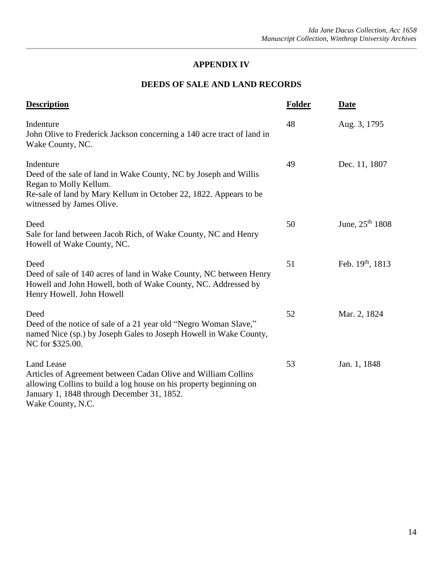# **DEEDS OF SALE AND LAND RECORDS**

| <b>Description</b>                                                                                                                                                                                                          | <b>Folder</b> | <b>Date</b>          |
|-----------------------------------------------------------------------------------------------------------------------------------------------------------------------------------------------------------------------------|---------------|----------------------|
| Indenture<br>John Olive to Frederick Jackson concerning a 140 acre tract of land in<br>Wake County, NC.                                                                                                                     | 48            | Aug. 3, 1795         |
| Indenture<br>Deed of the sale of land in Wake County, NC by Joseph and Willis<br>Regan to Molly Kellum.<br>Re-sale of land by Mary Kellum in October 22, 1822. Appears to be<br>witnessed by James Olive.                   | 49            | Dec. 11, 1807        |
| Deed<br>Sale for land between Jacob Rich, of Wake County, NC and Henry<br>Howell of Wake County, NC.                                                                                                                        | 50            | June, $25^{th}$ 1808 |
| Deed<br>Deed of sale of 140 acres of land in Wake County, NC between Henry<br>Howell and John Howell, both of Wake County, NC. Addressed by<br>Henry Howell. John Howell                                                    | 51            | Feb. $19th$ , 1813   |
| Deed<br>Deed of the notice of sale of a 21 year old "Negro Woman Slave,"<br>named Nice (sp.) by Joseph Gales to Joseph Howell in Wake County,<br>NC for \$325.00.                                                           | 52            | Mar. 2, 1824         |
| <b>Land Lease</b><br>Articles of Agreement between Cadan Olive and William Collins<br>allowing Collins to build a log house on his property beginning on<br>January 1, 1848 through December 31, 1852.<br>Wake County, N.C. | 53            | Jan. 1, 1848         |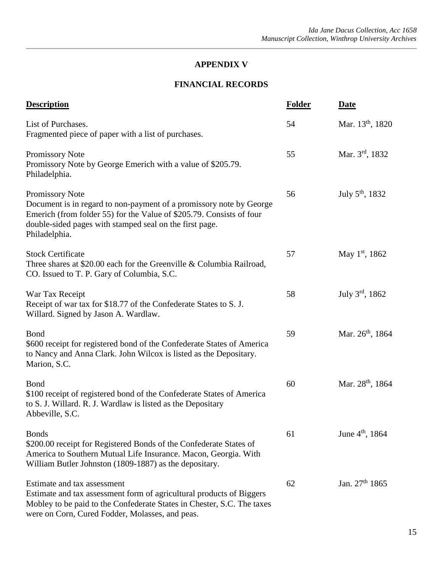# **APPENDIX V**

## **FINANCIAL RECORDS**

| <b>Description</b>                                                                                                                                                                                                                         | Folder | <b>Date</b>                  |
|--------------------------------------------------------------------------------------------------------------------------------------------------------------------------------------------------------------------------------------------|--------|------------------------------|
| List of Purchases.<br>Fragmented piece of paper with a list of purchases.                                                                                                                                                                  | 54     | Mar. 13 <sup>th</sup> , 1820 |
| Promissory Note<br>Promissory Note by George Emerich with a value of \$205.79.<br>Philadelphia.                                                                                                                                            | 55     | Mar. 3rd, 1832               |
| Promissory Note<br>Document is in regard to non-payment of a promissory note by George<br>Emerich (from folder 55) for the Value of \$205.79. Consists of four<br>double-sided pages with stamped seal on the first page.<br>Philadelphia. | 56     | July $5^{\text{th}}$ , 1832  |
| <b>Stock Certificate</b><br>Three shares at \$20.00 each for the Greenville & Columbia Railroad,<br>CO. Issued to T. P. Gary of Columbia, S.C.                                                                                             | 57     | May $1st$ , 1862             |
| War Tax Receipt<br>Receipt of war tax for \$18.77 of the Confederate States to S. J.<br>Willard. Signed by Jason A. Wardlaw.                                                                                                               | 58     | July $3^{\text{rd}}$ , 1862  |
| Bond<br>\$600 receipt for registered bond of the Confederate States of America<br>to Nancy and Anna Clark. John Wilcox is listed as the Depositary.<br>Marion, S.C.                                                                        | 59     | Mar. 26 <sup>th</sup> , 1864 |
| <b>Bond</b><br>\$100 receipt of registered bond of the Confederate States of America<br>to S. J. Willard. R. J. Wardlaw is listed as the Depositary<br>Abbeville, S.C.                                                                     | 60     | Mar. 28 <sup>th</sup> , 1864 |
| <b>Bonds</b><br>\$200.00 receipt for Registered Bonds of the Confederate States of<br>America to Southern Mutual Life Insurance. Macon, Georgia. With<br>William Butler Johnston (1809-1887) as the depositary.                            | 61     | June 4 <sup>th</sup> , 1864  |
| Estimate and tax assessment<br>Estimate and tax assessment form of agricultural products of Biggers<br>Mobley to be paid to the Confederate States in Chester, S.C. The taxes<br>were on Corn, Cured Fodder, Molasses, and peas.           | 62     | Jan. $27th 1865$             |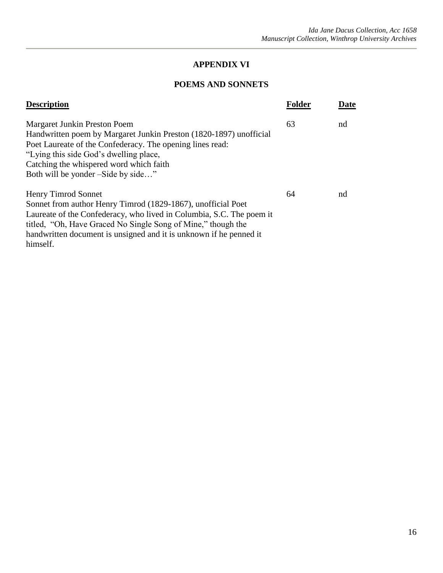# **POEMS AND SONNETS**

| <b>Description</b>                                                                                                                                                                                                                                                                                            | Folder | Date |
|---------------------------------------------------------------------------------------------------------------------------------------------------------------------------------------------------------------------------------------------------------------------------------------------------------------|--------|------|
| Margaret Junkin Preston Poem<br>Handwritten poem by Margaret Junkin Preston (1820-1897) unofficial<br>Poet Laureate of the Confederacy. The opening lines read:<br>"Lying this side God's dwelling place,<br>Catching the whispered word which faith<br>Both will be yonder –Side by side"                    | 63     | nd   |
| Henry Timrod Sonnet<br>Sonnet from author Henry Timrod (1829-1867), unofficial Poet<br>Laureate of the Confederacy, who lived in Columbia, S.C. The poem it<br>titled, "Oh, Have Graced No Single Song of Mine," though the<br>handwritten document is unsigned and it is unknown if he penned it<br>himself. | 64     | nd   |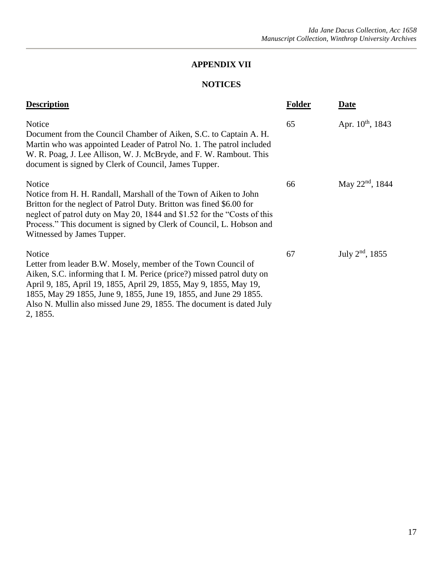# **NOTICES**

| <b>Description</b>                                                                                                                                                                                                                                                                                                                                                               | <b>Folder</b> | Date                  |
|----------------------------------------------------------------------------------------------------------------------------------------------------------------------------------------------------------------------------------------------------------------------------------------------------------------------------------------------------------------------------------|---------------|-----------------------|
| Notice<br>Document from the Council Chamber of Aiken, S.C. to Captain A. H.<br>Martin who was appointed Leader of Patrol No. 1. The patrol included<br>W. R. Poag, J. Lee Allison, W. J. McBryde, and F. W. Rambout. This<br>document is signed by Clerk of Council, James Tupper.                                                                                               | 65            | Apr. $10^{th}$ , 1843 |
| Notice<br>Notice from H. H. Randall, Marshall of the Town of Aiken to John<br>Britton for the neglect of Patrol Duty. Britton was fined \$6.00 for<br>neglect of patrol duty on May 20, 1844 and \$1.52 for the "Costs of this<br>Process." This document is signed by Clerk of Council, L. Hobson and<br>Witnessed by James Tupper.                                             | 66            | May $22^{nd}$ , 1844  |
| Notice<br>Letter from leader B.W. Mosely, member of the Town Council of<br>Aiken, S.C. informing that I. M. Perice (price?) missed patrol duty on<br>April 9, 185, April 19, 1855, April 29, 1855, May 9, 1855, May 19,<br>1855, May 29 1855, June 9, 1855, June 19, 1855, and June 29 1855.<br>Also N. Mullin also missed June 29, 1855. The document is dated July<br>2, 1855. | 67            | July $2^{nd}$ , 1855  |